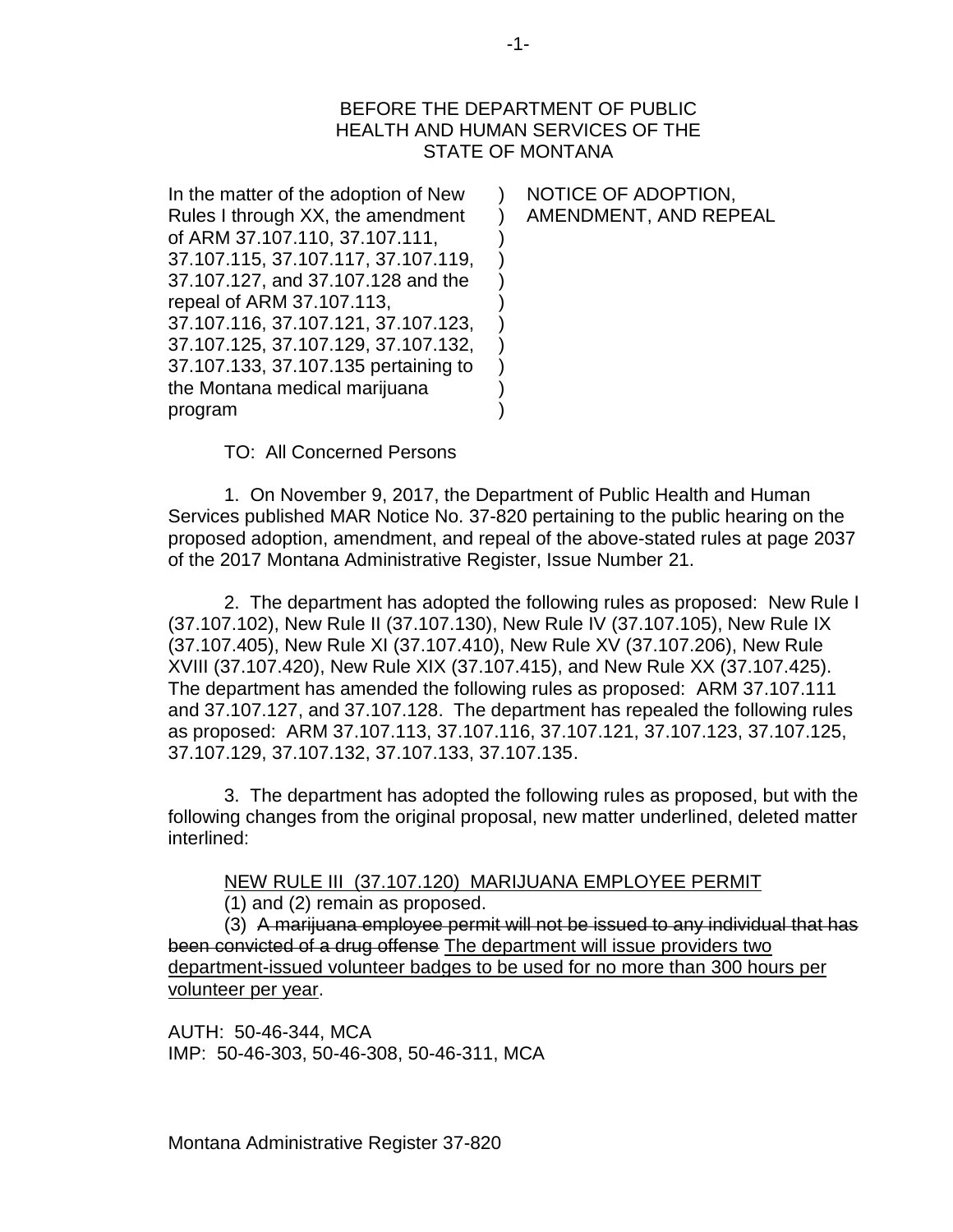#### BEFORE THE DEPARTMENT OF PUBLIC HEALTH AND HUMAN SERVICES OF THE STATE OF MONTANA

 $\lambda$ ) ) ) ) ) ) ) ) ) )

In the matter of the adoption of New Rules I through XX, the amendment of ARM 37.107.110, 37.107.111, 37.107.115, 37.107.117, 37.107.119, 37.107.127, and 37.107.128 and the repeal of ARM 37.107.113, 37.107.116, 37.107.121, 37.107.123, 37.107.125, 37.107.129, 37.107.132, 37.107.133, 37.107.135 pertaining to the Montana medical marijuana program

NOTICE OF ADOPTION, AMENDMENT, AND REPEAL

TO: All Concerned Persons

1. On November 9, 2017, the Department of Public Health and Human Services published MAR Notice No. 37-820 pertaining to the public hearing on the proposed adoption, amendment, and repeal of the above-stated rules at page 2037 of the 2017 Montana Administrative Register, Issue Number 21.

2. The department has adopted the following rules as proposed: New Rule I (37.107.102), New Rule II (37.107.130), New Rule IV (37.107.105), New Rule IX (37.107.405), New Rule XI (37.107.410), New Rule XV (37.107.206), New Rule XVIII (37.107.420), New Rule XIX (37.107.415), and New Rule XX (37.107.425). The department has amended the following rules as proposed: ARM 37.107.111 and 37.107.127, and 37.107.128. The department has repealed the following rules as proposed: ARM 37.107.113, 37.107.116, 37.107.121, 37.107.123, 37.107.125, 37.107.129, 37.107.132, 37.107.133, 37.107.135.

3. The department has adopted the following rules as proposed, but with the following changes from the original proposal, new matter underlined, deleted matter interlined:

NEW RULE III (37.107.120) MARIJUANA EMPLOYEE PERMIT

(1) and (2) remain as proposed.

(3) A marijuana employee permit will not be issued to any individual that has been convicted of a drug offense The department will issue providers two department-issued volunteer badges to be used for no more than 300 hours per volunteer per year.

AUTH: 50-46-344, MCA IMP: 50-46-303, 50-46-308, 50-46-311, MCA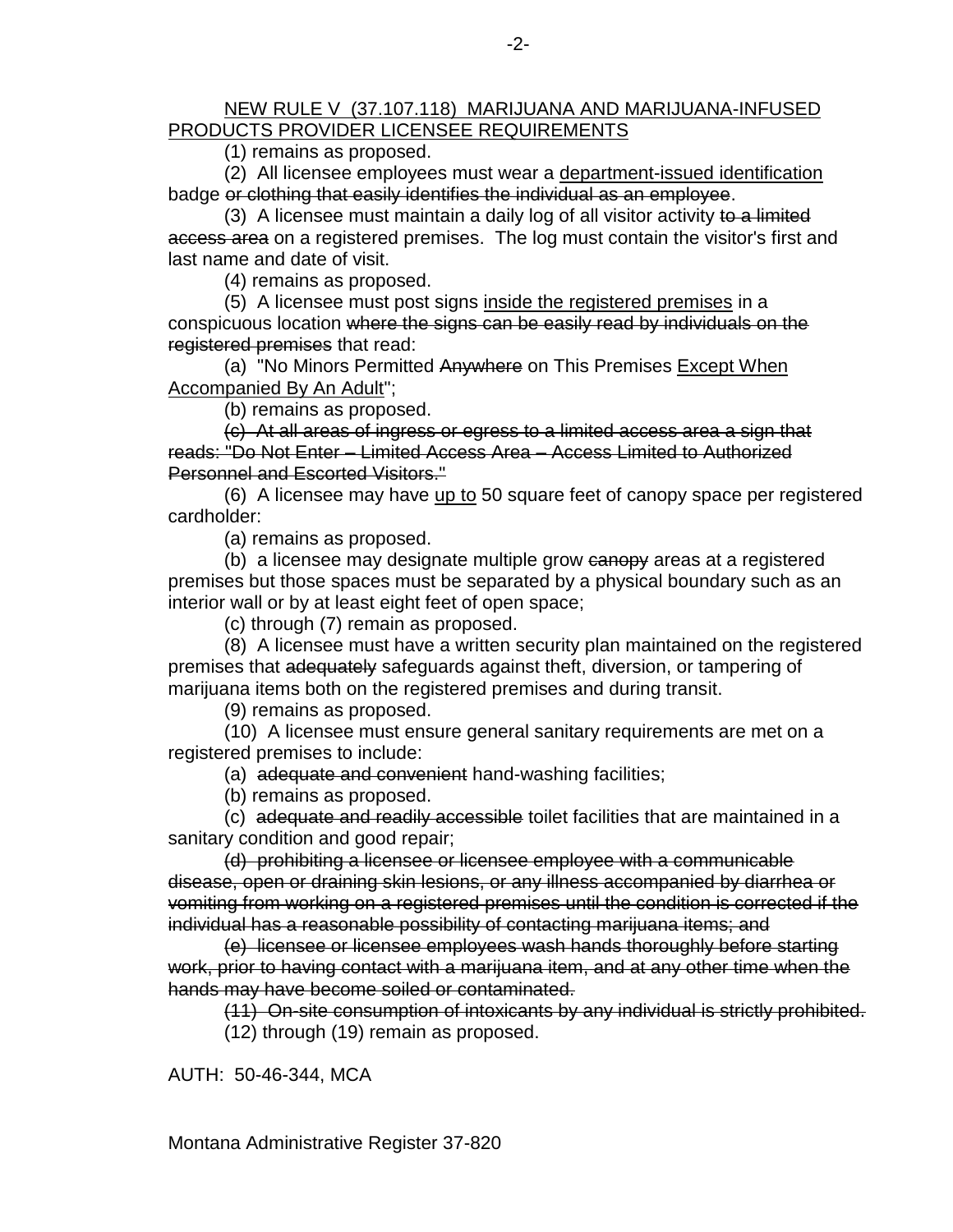#### NEW RULE V (37.107.118) MARIJUANA AND MARIJUANA-INFUSED PRODUCTS PROVIDER LICENSEE REQUIREMENTS

(1) remains as proposed.

(2) All licensee employees must wear a department-issued identification badge or clothing that easily identifies the individual as an employee.

(3) A licensee must maintain a daily log of all visitor activity to a limited access area on a registered premises. The log must contain the visitor's first and last name and date of visit.

(4) remains as proposed.

(5) A licensee must post signs inside the registered premises in a conspicuous location where the signs can be easily read by individuals on the registered premises that read:

(a) "No Minors Permitted Anywhere on This Premises Except When Accompanied By An Adult";

(b) remains as proposed.

(c) At all areas of ingress or egress to a limited access area a sign that reads: "Do Not Enter – Limited Access Area – Access Limited to Authorized Personnel and Escorted Visitors."

(6) A licensee may have up to 50 square feet of canopy space per registered cardholder:

(a) remains as proposed.

(b) a licensee may designate multiple grow canopy areas at a registered premises but those spaces must be separated by a physical boundary such as an interior wall or by at least eight feet of open space;

(c) through (7) remain as proposed.

(8) A licensee must have a written security plan maintained on the registered premises that adequately safeguards against theft, diversion, or tampering of marijuana items both on the registered premises and during transit.

(9) remains as proposed.

(10) A licensee must ensure general sanitary requirements are met on a registered premises to include:

(a) adequate and convenient hand-washing facilities;

(b) remains as proposed.

(c) adequate and readily accessible toilet facilities that are maintained in a sanitary condition and good repair;

(d) prohibiting a licensee or licensee employee with a communicable disease, open or draining skin lesions, or any illness accompanied by diarrhea or vomiting from working on a registered premises until the condition is corrected if the individual has a reasonable possibility of contacting marijuana items; and

(e) licensee or licensee employees wash hands thoroughly before starting work, prior to having contact with a marijuana item, and at any other time when the hands may have become soiled or contaminated.

(11) On-site consumption of intoxicants by any individual is strictly prohibited.

(12) through (19) remain as proposed.

AUTH: 50-46-344, MCA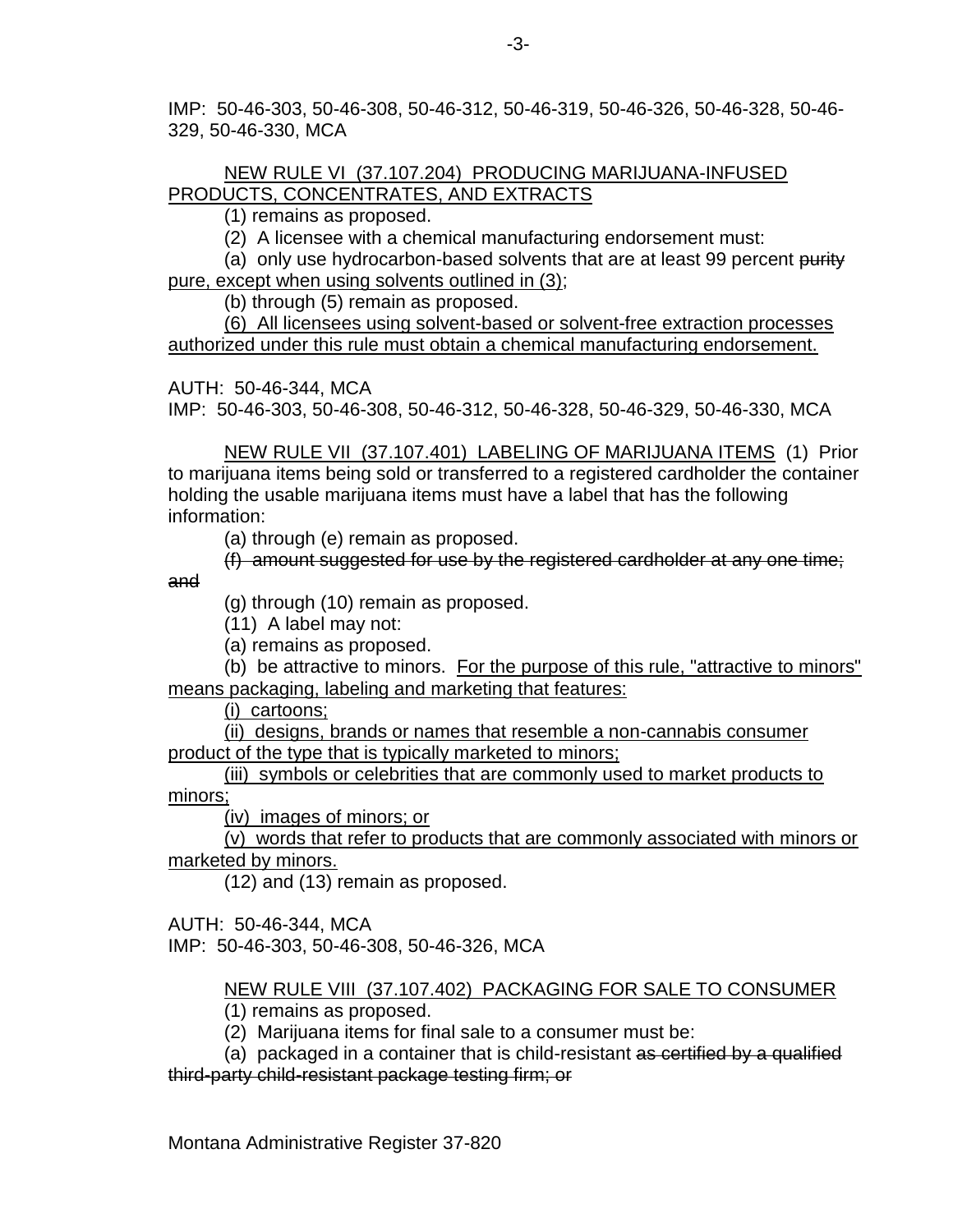IMP: 50-46-303, 50-46-308, 50-46-312, 50-46-319, 50-46-326, 50-46-328, 50-46- 329, 50-46-330, MCA

### NEW RULE VI (37.107.204) PRODUCING MARIJUANA-INFUSED PRODUCTS, CONCENTRATES, AND EXTRACTS

(1) remains as proposed.

(2) A licensee with a chemical manufacturing endorsement must:

(a) only use hydrocarbon-based solvents that are at least 99 percent purity pure, except when using solvents outlined in (3);

(b) through (5) remain as proposed.

(6) All licensees using solvent-based or solvent-free extraction processes authorized under this rule must obtain a chemical manufacturing endorsement.

AUTH: 50-46-344, MCA

IMP: 50-46-303, 50-46-308, 50-46-312, 50-46-328, 50-46-329, 50-46-330, MCA

NEW RULE VII (37.107.401) LABELING OF MARIJUANA ITEMS (1) Prior to marijuana items being sold or transferred to a registered cardholder the container holding the usable marijuana items must have a label that has the following information:

(a) through (e) remain as proposed.

(f) amount suggested for use by the registered cardholder at any one time;

and

(g) through (10) remain as proposed.

(11) A label may not:

(a) remains as proposed.

(b) be attractive to minors. For the purpose of this rule, "attractive to minors" means packaging, labeling and marketing that features:

(i) cartoons;

(ii) designs, brands or names that resemble a non-cannabis consumer product of the type that is typically marketed to minors;

(iii) symbols or celebrities that are commonly used to market products to minors;

(iv) images of minors; or

(v) words that refer to products that are commonly associated with minors or marketed by minors.

(12) and (13) remain as proposed.

AUTH: 50-46-344, MCA IMP: 50-46-303, 50-46-308, 50-46-326, MCA

NEW RULE VIII (37.107.402) PACKAGING FOR SALE TO CONSUMER

(1) remains as proposed.

(2) Marijuana items for final sale to a consumer must be:

(a) packaged in a container that is child-resistant as certified by a qualified third-party child-resistant package testing firm; or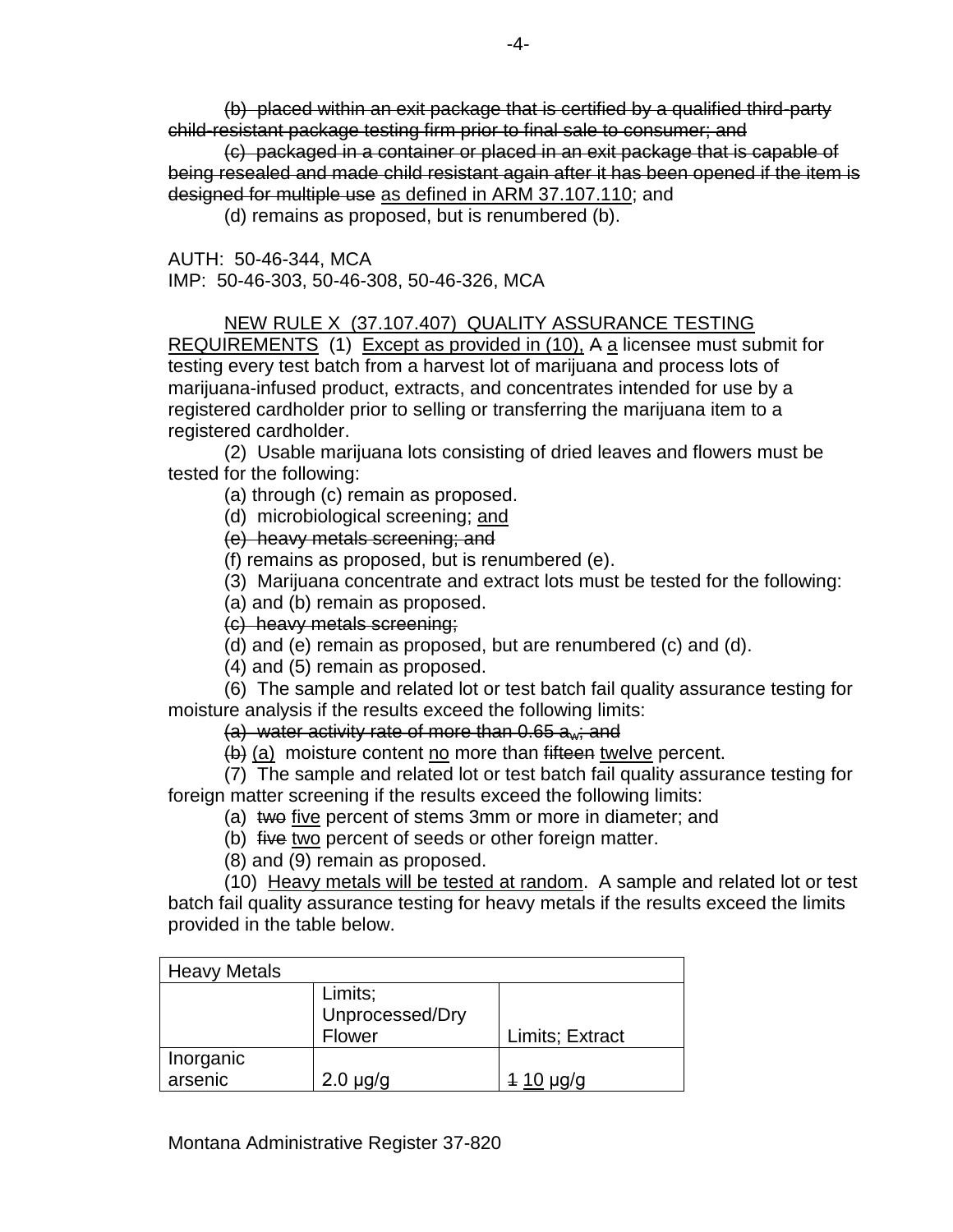(b) placed within an exit package that is certified by a qualified third-party child-resistant package testing firm prior to final sale to consumer; and

(c) packaged in a container or placed in an exit package that is capable of being resealed and made child resistant again after it has been opened if the item is designed for multiple use as defined in ARM 37.107.110; and

(d) remains as proposed, but is renumbered (b).

AUTH: 50-46-344, MCA IMP: 50-46-303, 50-46-308, 50-46-326, MCA

NEW RULE X (37.107.407) QUALITY ASSURANCE TESTING REQUIREMENTS (1) Except as provided in (10), A a licensee must submit for testing every test batch from a harvest lot of marijuana and process lots of marijuana-infused product, extracts, and concentrates intended for use by a registered cardholder prior to selling or transferring the marijuana item to a registered cardholder.

(2) Usable marijuana lots consisting of dried leaves and flowers must be tested for the following:

(a) through (c) remain as proposed.

(d) microbiological screening; and

(e) heavy metals screening; and

(f) remains as proposed, but is renumbered (e).

(3) Marijuana concentrate and extract lots must be tested for the following:

(a) and (b) remain as proposed.

(c) heavy metals screening;

(d) and (e) remain as proposed, but are renumbered (c) and (d).

(4) and (5) remain as proposed.

(6) The sample and related lot or test batch fail quality assurance testing for moisture analysis if the results exceed the following limits:

(a) water activity rate of more than  $0.65$  a<sub>w</sub>; and

 $(b)$  (a) moisture content no more than fifteen twelve percent.

(7) The sample and related lot or test batch fail quality assurance testing for foreign matter screening if the results exceed the following limits:

(a) two five percent of stems 3mm or more in diameter; and

(b) five two percent of seeds or other foreign matter.

(8) and (9) remain as proposed.

(10) Heavy metals will be tested at random. A sample and related lot or test batch fail quality assurance testing for heavy metals if the results exceed the limits provided in the table below.

| <b>Heavy Metals</b> |                 |                 |
|---------------------|-----------------|-----------------|
|                     | Limits;         |                 |
|                     | Unprocessed/Dry |                 |
|                     | Flower          | Limits; Extract |
| Inorganic           |                 |                 |
| arsenic             | $2.0 \mu g/g$   | $410 \mu q/q$   |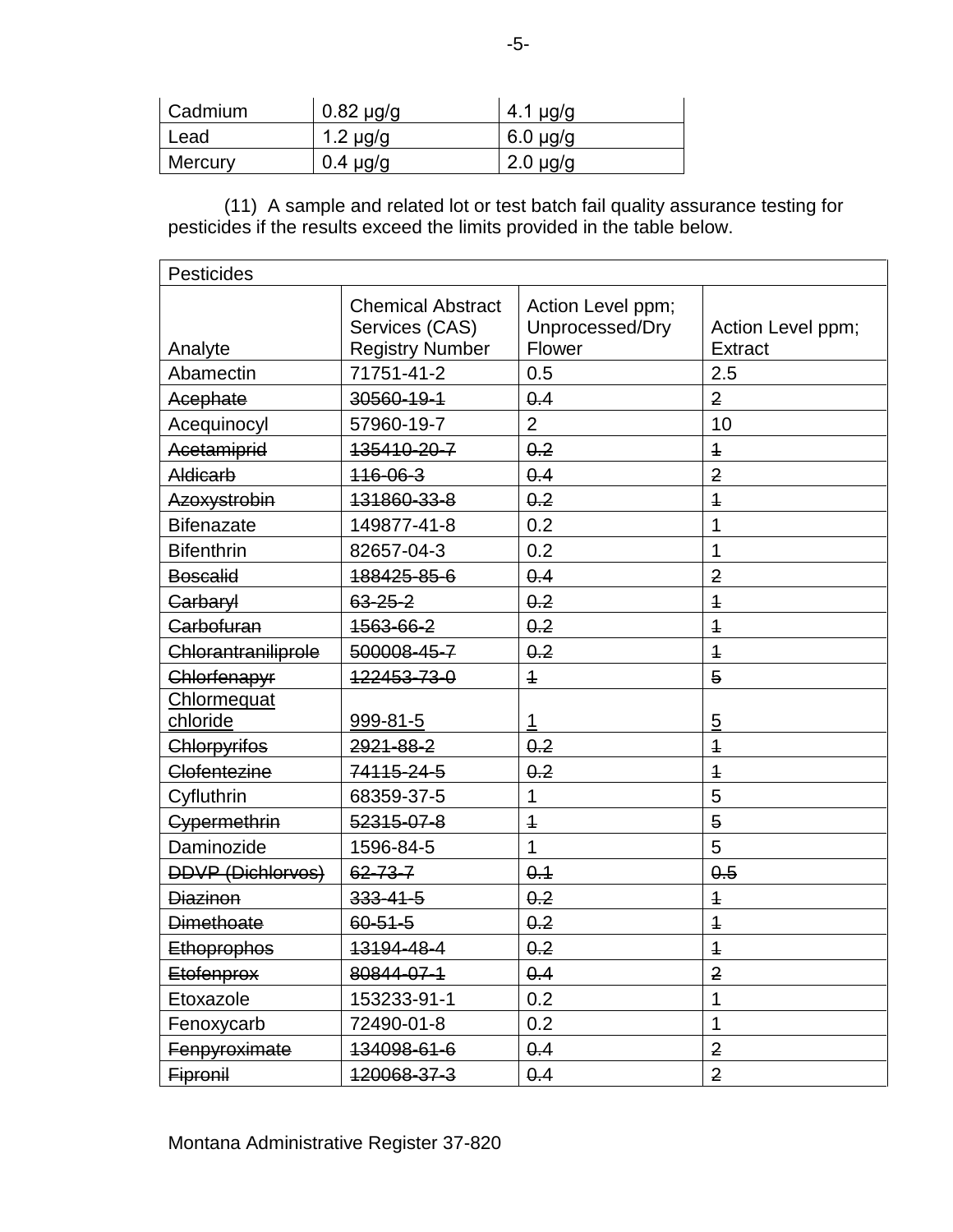| Cadmium | $0.82 \mu g/g$ | 4.1 $\mu$ g/g |
|---------|----------------|---------------|
| Lead    | 1.2 $\mu$ g/g  | $6.0 \mu g/g$ |
| Mercury | $0.4 \mu$ g/g  | $2.0 \mu g/g$ |

(11) A sample and related lot or test batch fail quality assurance testing for pesticides if the results exceed the limits provided in the table below.

| Pesticides               |                                                                      |                                                |                                     |  |  |
|--------------------------|----------------------------------------------------------------------|------------------------------------------------|-------------------------------------|--|--|
| Analyte                  | <b>Chemical Abstract</b><br>Services (CAS)<br><b>Registry Number</b> | Action Level ppm;<br>Unprocessed/Dry<br>Flower | Action Level ppm;<br><b>Extract</b> |  |  |
| Abamectin                | 71751-41-2                                                           | 0.5                                            | 2.5                                 |  |  |
| Acephate                 | 30560-19-1                                                           | 0.4                                            | $\overline{2}$                      |  |  |
| Acequinocyl              | 57960-19-7                                                           | $\overline{2}$                                 | 10                                  |  |  |
| Acetamiprid              | 135410-20-7                                                          | 0.2                                            | $\ddagger$                          |  |  |
| Aldicarb                 | $116 - 06 - 3$                                                       | 0.4                                            | $\overline{2}$                      |  |  |
| Azoxystrobin             | 131860-33-8                                                          | 0.2                                            | $\overline{1}$                      |  |  |
| <b>Bifenazate</b>        | 149877-41-8                                                          | 0.2                                            | 1                                   |  |  |
| <b>Bifenthrin</b>        | 82657-04-3                                                           | 0.2                                            | 1                                   |  |  |
| <b>Boscalid</b>          | 188425-85-6                                                          | 0.4                                            | $\overline{2}$                      |  |  |
| Carbaryl                 | 63-25-2                                                              | 0.2                                            | $\overline{1}$                      |  |  |
| Carbofuran               | 1563-66-2                                                            | 0.2                                            | $\overline{1}$                      |  |  |
| Chlorantraniliprole      | 500008-45-7                                                          | 0.2                                            | $\overline{1}$                      |  |  |
| Chlorfenapyr             | 122453-73-0                                                          | $\overline{1}$                                 | $\overline{5}$                      |  |  |
| Chlormequat              |                                                                      |                                                |                                     |  |  |
| chloride                 | 999-81-5                                                             | 1                                              | 5                                   |  |  |
| Chlorpyrifos             | 2921-88-2                                                            | 0.2                                            | $\overline{1}$                      |  |  |
| Clofentezine             | 74115-24-5                                                           | 0.2                                            | $\overline{1}$                      |  |  |
| Cyfluthrin               | 68359-37-5                                                           | 1                                              | 5                                   |  |  |
| Cypermethrin             | 52315-07-8                                                           | $\overline{\mathbf{1}}$                        | $\overline{5}$                      |  |  |
| Daminozide               | 1596-84-5                                                            | 1                                              | 5                                   |  |  |
| <b>DDVP (Dichlorvos)</b> | $62 - 73 - 7$                                                        | 0.1                                            | 0.5                                 |  |  |
| <b>Diazinon</b>          | 333-41-5                                                             | 0.2                                            | $\overline{1}$                      |  |  |
| <b>Dimethoate</b>        | $60 - 51 - 5$                                                        | 0.2                                            | $\overline{1}$                      |  |  |
| <b>Ethoprophos</b>       | 13194-48-4                                                           | 0.2                                            | $\overline{1}$                      |  |  |
| <b>Etofenprox</b>        | 80844-07-1                                                           | 0.4                                            | $\overline{2}$                      |  |  |
| Etoxazole                | 153233-91-1                                                          | 0.2                                            | 1                                   |  |  |
| Fenoxycarb               | 72490-01-8                                                           | 0.2                                            | 1                                   |  |  |
| Fenpyroximate            | 134098-61-6                                                          | 0.4                                            | $\overline{2}$                      |  |  |
| Fipronil                 | 120068-37-3                                                          | 0.4                                            | $\overline{2}$                      |  |  |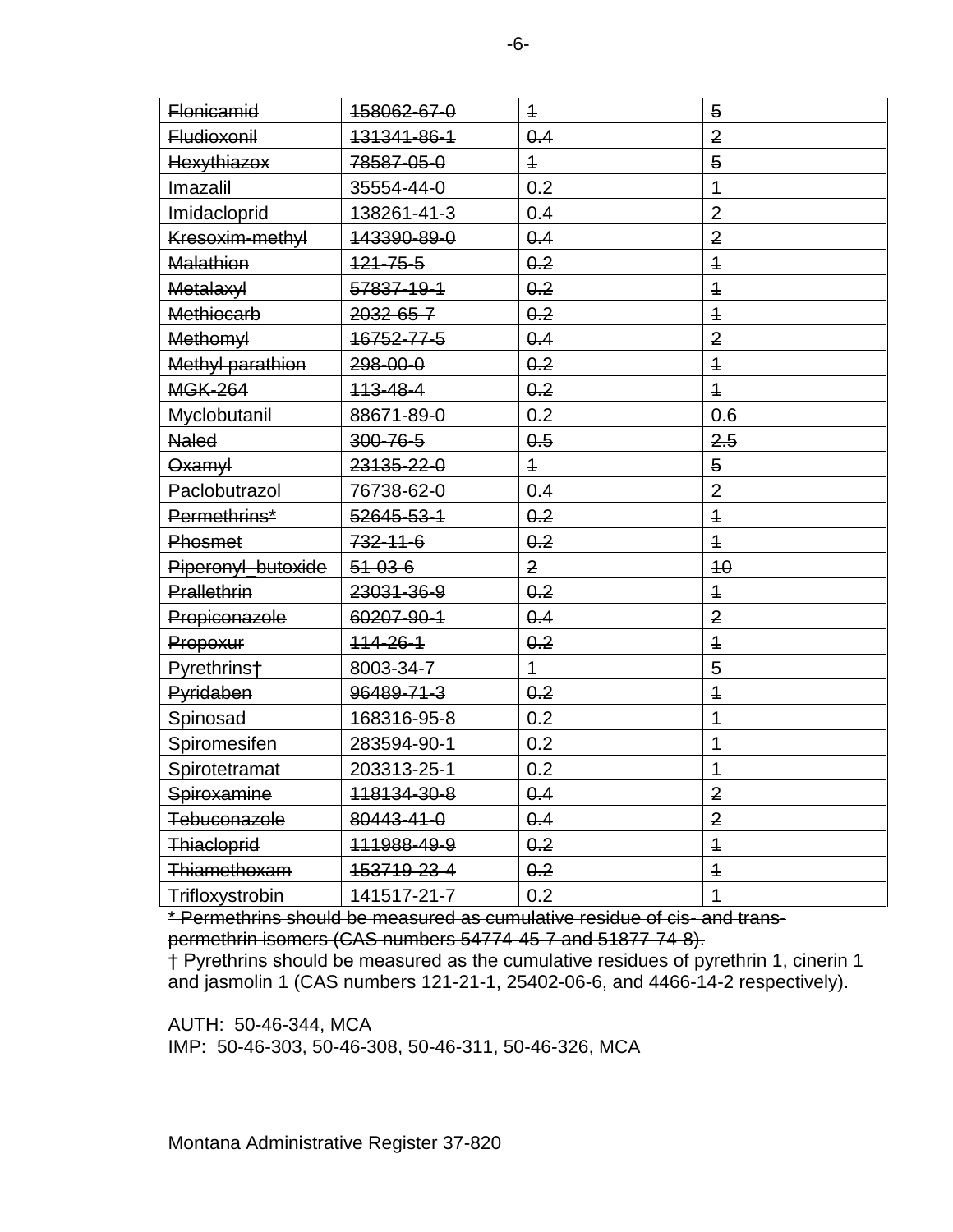| <b>Flonicamid</b>  | 158062-67-0    | $\overline{1}$ | 5              |
|--------------------|----------------|----------------|----------------|
| <b>Fludioxonil</b> | 131341-86-1    | 0.4            | $\overline{2}$ |
| Hexythiazox        | 78587-05-0     | $\overline{1}$ | 5              |
| Imazalil           | 35554-44-0     | 0.2            | 1              |
| Imidacloprid       | 138261-41-3    | 0.4            | $\overline{2}$ |
| Kresoxim-methyl    | 143390-89-0    | 0.4            | $\overline{2}$ |
| <b>Malathion</b>   | $121 - 75 - 5$ | 0.2            | $\overline{1}$ |
| <b>Metalaxyl</b>   | 57837-19-1     | 0.2            | $\overline{1}$ |
| <b>Methiocarb</b>  | 2032-65-7      | 0.2            | $\overline{1}$ |
| <b>Methomyl</b>    | 16752-77-5     | 0.4            | $\overline{2}$ |
| Methyl parathion   | 298-00-0       | 0.2            | $\ddagger$     |
| <b>MGK-264</b>     | 113-48-4       | 0.2            | $\overline{1}$ |
| Myclobutanil       | 88671-89-0     | 0.2            | 0.6            |
| <b>Naled</b>       | 300-76-5       | 0.5            | 2.5            |
| Oxamyl             | 23135-22-0     | $\overline{1}$ | 5              |
| Paclobutrazol      | 76738-62-0     | 0.4            | $\overline{2}$ |
| Permethrins*       | 52645-53-1     | 0.2            | $\overline{1}$ |
| Phosmet            | $732 - 11 - 6$ | 0.2            | $\overline{1}$ |
| Piperonyl_butoxide | $51 - 03 - 6$  | $\overline{2}$ | 40             |
| Prallethrin        | 23031-36-9     | 0.2            | $\overline{1}$ |
| Propiconazole      | 60207-90-1     | 0.4            | $\overline{2}$ |
| Propoxur           | $114 - 26 - 1$ | 0.2            | $\ddagger$     |
| Pyrethrins†        | 8003-34-7      | $\mathbf{1}$   | 5              |
| Pyridaben          | 96489-71-3     | 0.2            | $\ddagger$     |
| Spinosad           | 168316-95-8    | 0.2            | 1              |
| Spiromesifen       | 283594-90-1    | 0.2            | 1              |
| Spirotetramat      | 203313-25-1    | 0.2            | 1              |
| Spiroxamine        | 118134-30-8    | 0.4            | $\overline{2}$ |
| Tebuconazole       | 80443-41-0     | 0.4            | $\overline{2}$ |
| Thiacloprid        | 111988-49-9    | 0.2            | $\overline{1}$ |
| Thiamethoxam       | 153719-23-4    | 0.2            | $\overline{1}$ |
| Trifloxystrobin    | 141517-21-7    | 0.2            | 1              |

\* Permethrins should be measured as cumulative residue of cis- and transpermethrin isomers (CAS numbers 54774-45-7 and 51877-74-8).

† Pyrethrins should be measured as the cumulative residues of pyrethrin 1, cinerin 1 and jasmolin 1 (CAS numbers 121-21-1, 25402-06-6, and 4466-14-2 respectively).

AUTH: 50-46-344, MCA IMP: 50-46-303, 50-46-308, 50-46-311, 50-46-326, MCA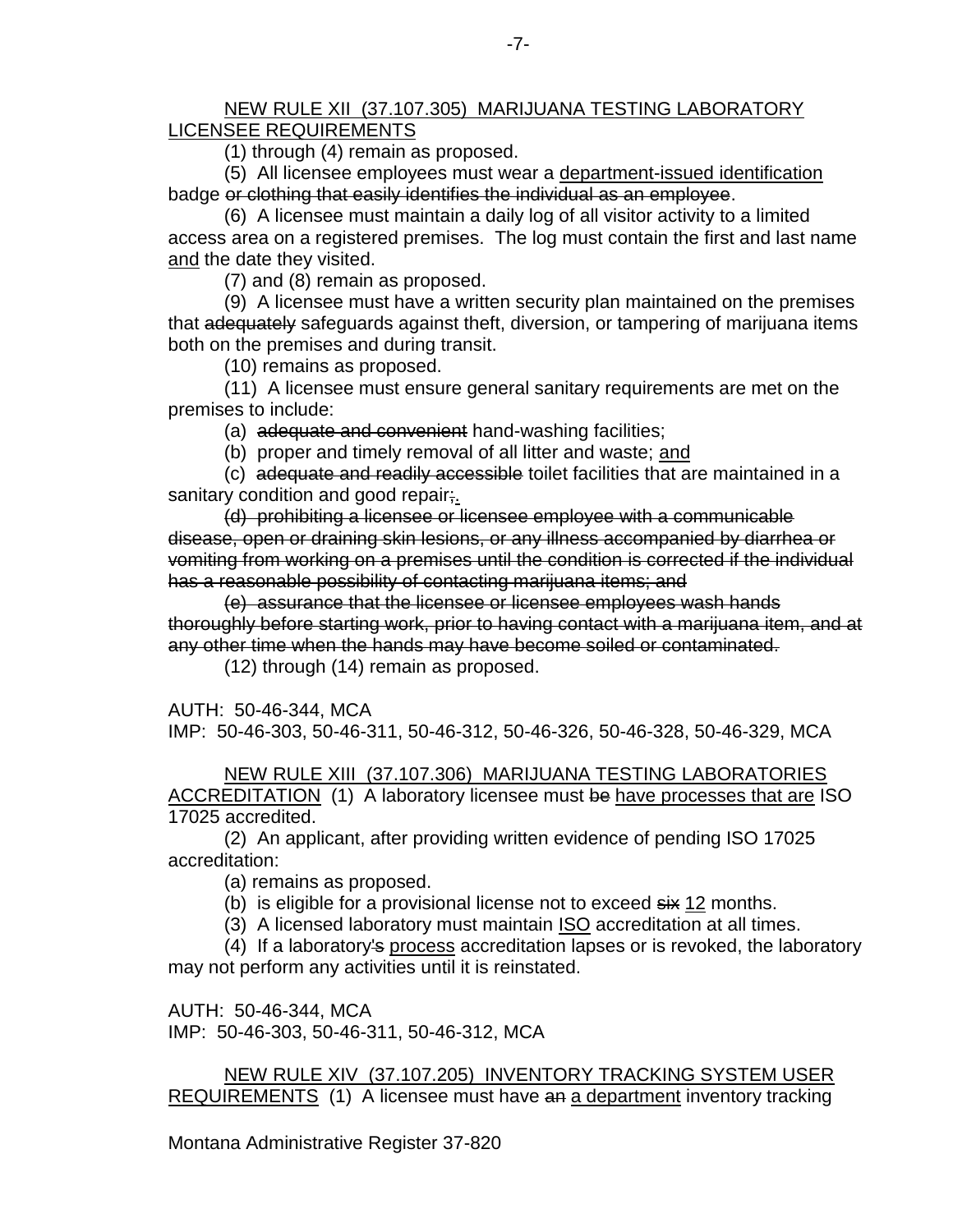#### NEW RULE XII (37.107.305) MARIJUANA TESTING LABORATORY LICENSEE REQUIREMENTS

(1) through (4) remain as proposed.

(5) All licensee employees must wear a department-issued identification badge or clothing that easily identifies the individual as an employee.

(6) A licensee must maintain a daily log of all visitor activity to a limited access area on a registered premises. The log must contain the first and last name and the date they visited.

(7) and (8) remain as proposed.

(9) A licensee must have a written security plan maintained on the premises that adequately safeguards against theft, diversion, or tampering of marijuana items both on the premises and during transit.

(10) remains as proposed.

(11) A licensee must ensure general sanitary requirements are met on the premises to include:

(a) adequate and convenient hand-washing facilities;

(b) proper and timely removal of all litter and waste; and

(c) adequate and readily accessible toilet facilities that are maintained in a sanitary condition and good repair;

(d) prohibiting a licensee or licensee employee with a communicable disease, open or draining skin lesions, or any illness accompanied by diarrhea or vomiting from working on a premises until the condition is corrected if the individual has a reasonable possibility of contacting marijuana items; and

(e) assurance that the licensee or licensee employees wash hands thoroughly before starting work, prior to having contact with a marijuana item, and at any other time when the hands may have become soiled or contaminated.

(12) through (14) remain as proposed.

AUTH: 50-46-344, MCA

IMP: 50-46-303, 50-46-311, 50-46-312, 50-46-326, 50-46-328, 50-46-329, MCA

NEW RULE XIII (37.107.306) MARIJUANA TESTING LABORATORIES ACCREDITATION (1) A laboratory licensee must be have processes that are ISO 17025 accredited.

(2) An applicant, after providing written evidence of pending ISO 17025 accreditation:

(a) remains as proposed.

(b) is eligible for a provisional license not to exceed  $s$ ix 12 months.

(3) A licensed laboratory must maintain ISO accreditation at all times.

(4) If a laboratory's process accreditation lapses or is revoked, the laboratory may not perform any activities until it is reinstated.

AUTH: 50-46-344, MCA IMP: 50-46-303, 50-46-311, 50-46-312, MCA

NEW RULE XIV (37.107.205) INVENTORY TRACKING SYSTEM USER REQUIREMENTS (1) A licensee must have an a department inventory tracking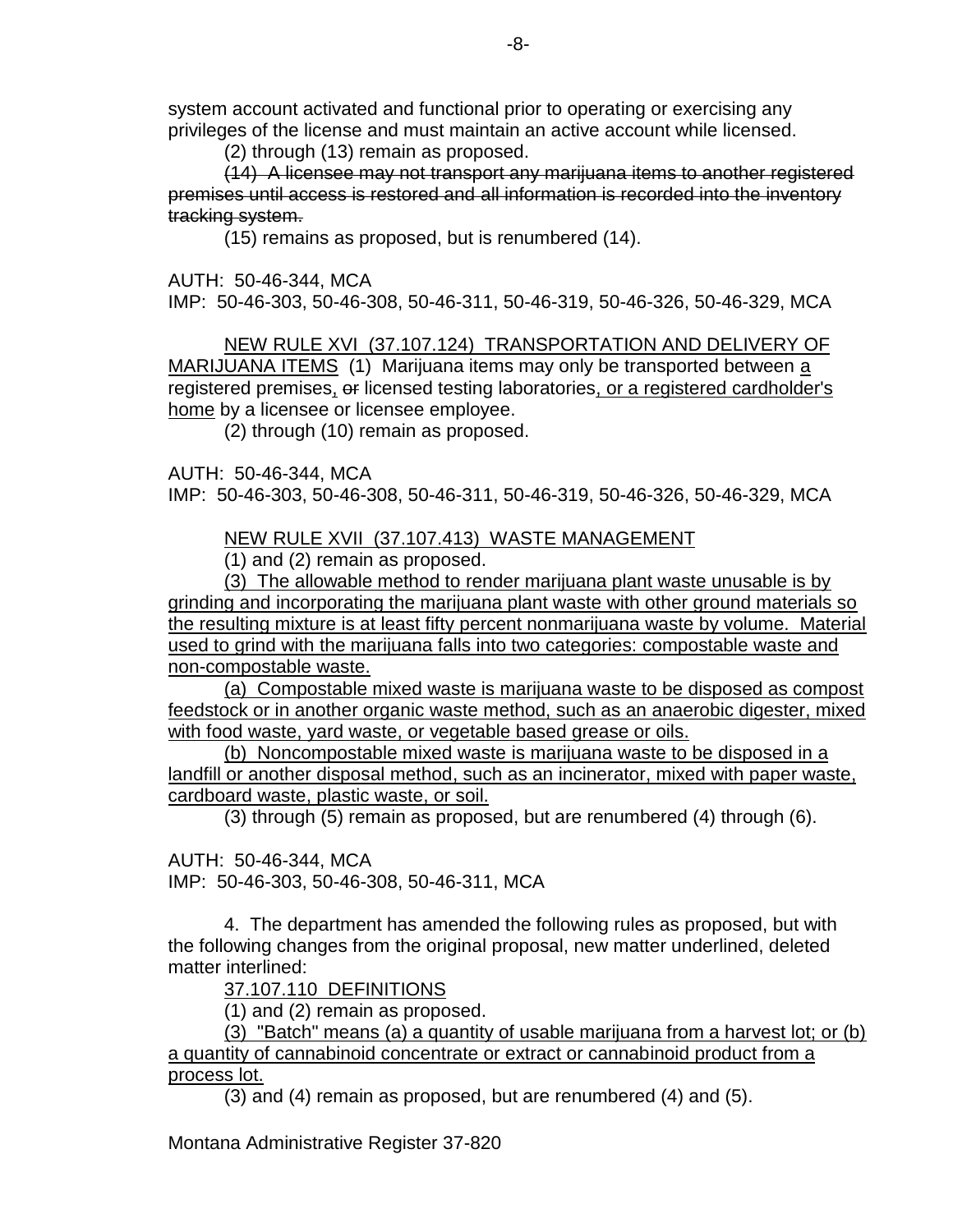system account activated and functional prior to operating or exercising any privileges of the license and must maintain an active account while licensed.

(2) through (13) remain as proposed.

(14) A licensee may not transport any marijuana items to another registered premises until access is restored and all information is recorded into the inventory tracking system.

(15) remains as proposed, but is renumbered (14).

AUTH: 50-46-344, MCA

IMP: 50-46-303, 50-46-308, 50-46-311, 50-46-319, 50-46-326, 50-46-329, MCA

NEW RULE XVI (37.107.124) TRANSPORTATION AND DELIVERY OF MARIJUANA ITEMS (1) Marijuana items may only be transported between a registered premises, or licensed testing laboratories, or a registered cardholder's home by a licensee or licensee employee.

(2) through (10) remain as proposed.

AUTH: 50-46-344, MCA IMP: 50-46-303, 50-46-308, 50-46-311, 50-46-319, 50-46-326, 50-46-329, MCA

NEW RULE XVII (37.107.413) WASTE MANAGEMENT

(1) and (2) remain as proposed.

(3) The allowable method to render marijuana plant waste unusable is by grinding and incorporating the marijuana plant waste with other ground materials so the resulting mixture is at least fifty percent nonmarijuana waste by volume. Material used to grind with the marijuana falls into two categories: compostable waste and non-compostable waste.

(a) Compostable mixed waste is marijuana waste to be disposed as compost feedstock or in another organic waste method, such as an anaerobic digester, mixed with food waste, yard waste, or vegetable based grease or oils.

(b) Noncompostable mixed waste is marijuana waste to be disposed in a landfill or another disposal method, such as an incinerator, mixed with paper waste, cardboard waste, plastic waste, or soil.

(3) through (5) remain as proposed, but are renumbered (4) through (6).

AUTH: 50-46-344, MCA IMP: 50-46-303, 50-46-308, 50-46-311, MCA

4. The department has amended the following rules as proposed, but with the following changes from the original proposal, new matter underlined, deleted matter interlined:

37.107.110 DEFINITIONS

(1) and (2) remain as proposed.

(3) "Batch" means (a) a quantity of usable marijuana from a harvest lot; or (b) a quantity of cannabinoid concentrate or extract or cannabinoid product from a process lot.

(3) and (4) remain as proposed, but are renumbered (4) and (5).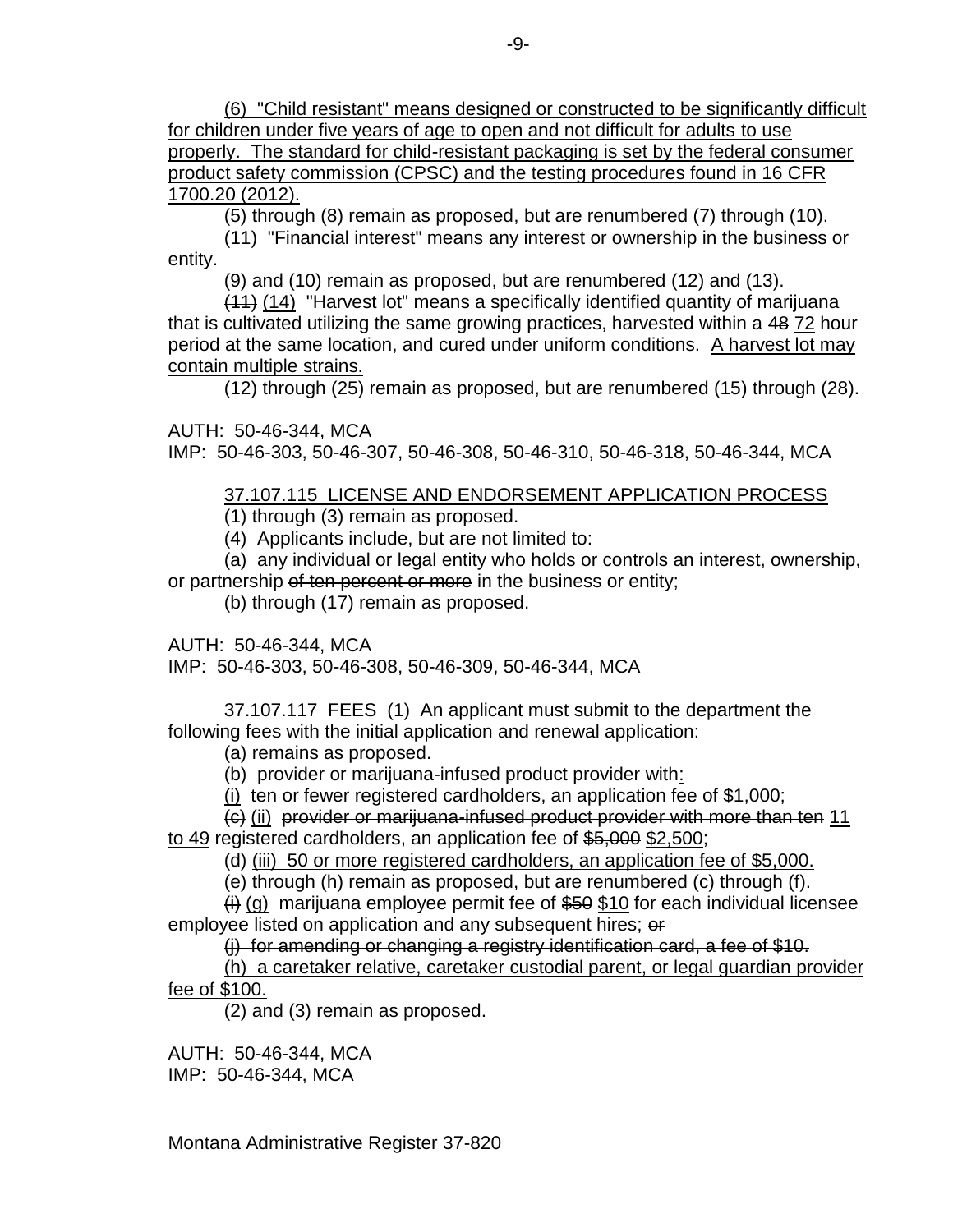(6) "Child resistant" means designed or constructed to be significantly difficult for children under five years of age to open and not difficult for adults to use properly. The standard for child-resistant packaging is set by the federal consumer product safety commission (CPSC) and the testing procedures found in 16 CFR 1700.20 (2012).

(5) through (8) remain as proposed, but are renumbered (7) through (10).

(11) "Financial interest" means any interest or ownership in the business or entity.

(9) and (10) remain as proposed, but are renumbered (12) and (13).

(11) (14) "Harvest lot" means a specifically identified quantity of marijuana that is cultivated utilizing the same growing practices, harvested within a 48 72 hour period at the same location, and cured under uniform conditions. A harvest lot may contain multiple strains.

(12) through (25) remain as proposed, but are renumbered (15) through (28).

AUTH: 50-46-344, MCA IMP: 50-46-303, 50-46-307, 50-46-308, 50-46-310, 50-46-318, 50-46-344, MCA

# 37.107.115 LICENSE AND ENDORSEMENT APPLICATION PROCESS

(1) through (3) remain as proposed.

(4) Applicants include, but are not limited to:

(a) any individual or legal entity who holds or controls an interest, ownership, or partnership of ten percent or more in the business or entity;

(b) through (17) remain as proposed.

AUTH: 50-46-344, MCA IMP: 50-46-303, 50-46-308, 50-46-309, 50-46-344, MCA

37.107.117 FEES (1) An applicant must submit to the department the following fees with the initial application and renewal application:

(a) remains as proposed.

(b) provider or marijuana-infused product provider with:

(i) ten or fewer registered cardholders, an application fee of \$1,000;

(c) (ii) provider or marijuana-infused product provider with more than ten 11

to 49 registered cardholders, an application fee of \$5,000 \$2,500;

 $(d)$  (iii) 50 or more registered cardholders, an application fee of \$5,000.

(e) through (h) remain as proposed, but are renumbered (c) through (f).

 $\overline{H}(q)$  marijuana employee permit fee of \$50 \$10 for each individual licensee employee listed on application and any subsequent hires; or

(j) for amending or changing a registry identification card, a fee of \$10.

(h) a caretaker relative, caretaker custodial parent, or legal guardian provider fee of \$100.

(2) and (3) remain as proposed.

AUTH: 50-46-344, MCA IMP: 50-46-344, MCA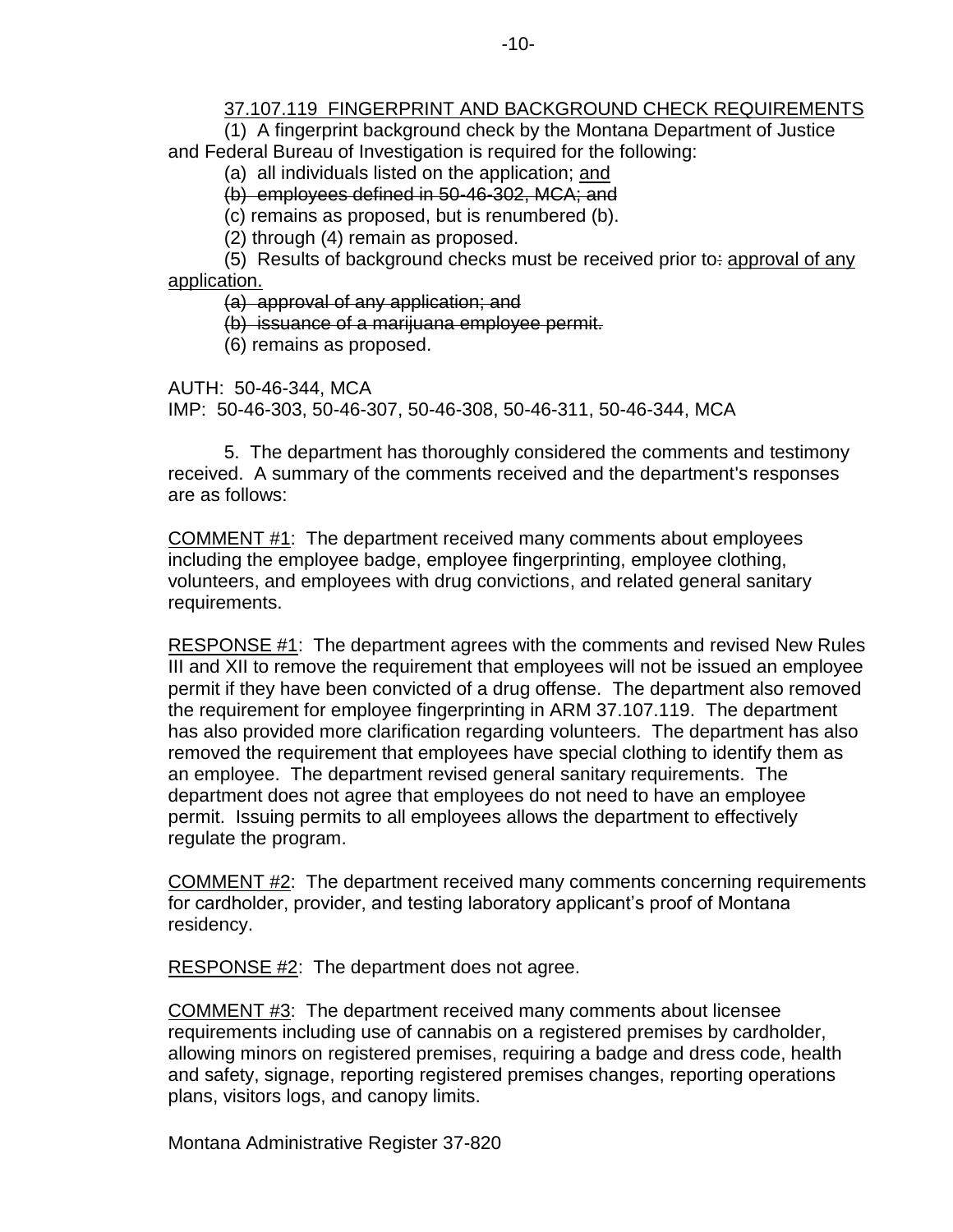## 37.107.119 FINGERPRINT AND BACKGROUND CHECK REQUIREMENTS

(1) A fingerprint background check by the Montana Department of Justice and Federal Bureau of Investigation is required for the following:

(a) all individuals listed on the application; and

(b) employees defined in 50-46-302, MCA; and

(c) remains as proposed, but is renumbered (b).

(2) through (4) remain as proposed.

(5) Results of background checks must be received prior to: approval of any application.

(a) approval of any application; and

(b) issuance of a marijuana employee permit.

(6) remains as proposed.

AUTH: 50-46-344, MCA

IMP: 50-46-303, 50-46-307, 50-46-308, 50-46-311, 50-46-344, MCA

5. The department has thoroughly considered the comments and testimony received. A summary of the comments received and the department's responses are as follows:

COMMENT #1: The department received many comments about employees including the employee badge, employee fingerprinting, employee clothing, volunteers, and employees with drug convictions, and related general sanitary requirements.

RESPONSE #1: The department agrees with the comments and revised New Rules III and XII to remove the requirement that employees will not be issued an employee permit if they have been convicted of a drug offense. The department also removed the requirement for employee fingerprinting in ARM 37.107.119. The department has also provided more clarification regarding volunteers. The department has also removed the requirement that employees have special clothing to identify them as an employee. The department revised general sanitary requirements. The department does not agree that employees do not need to have an employee permit. Issuing permits to all employees allows the department to effectively regulate the program.

COMMENT #2: The department received many comments concerning requirements for cardholder, provider, and testing laboratory applicant's proof of Montana residency.

RESPONSE #2: The department does not agree.

COMMENT #3: The department received many comments about licensee requirements including use of cannabis on a registered premises by cardholder, allowing minors on registered premises, requiring a badge and dress code, health and safety, signage, reporting registered premises changes, reporting operations plans, visitors logs, and canopy limits.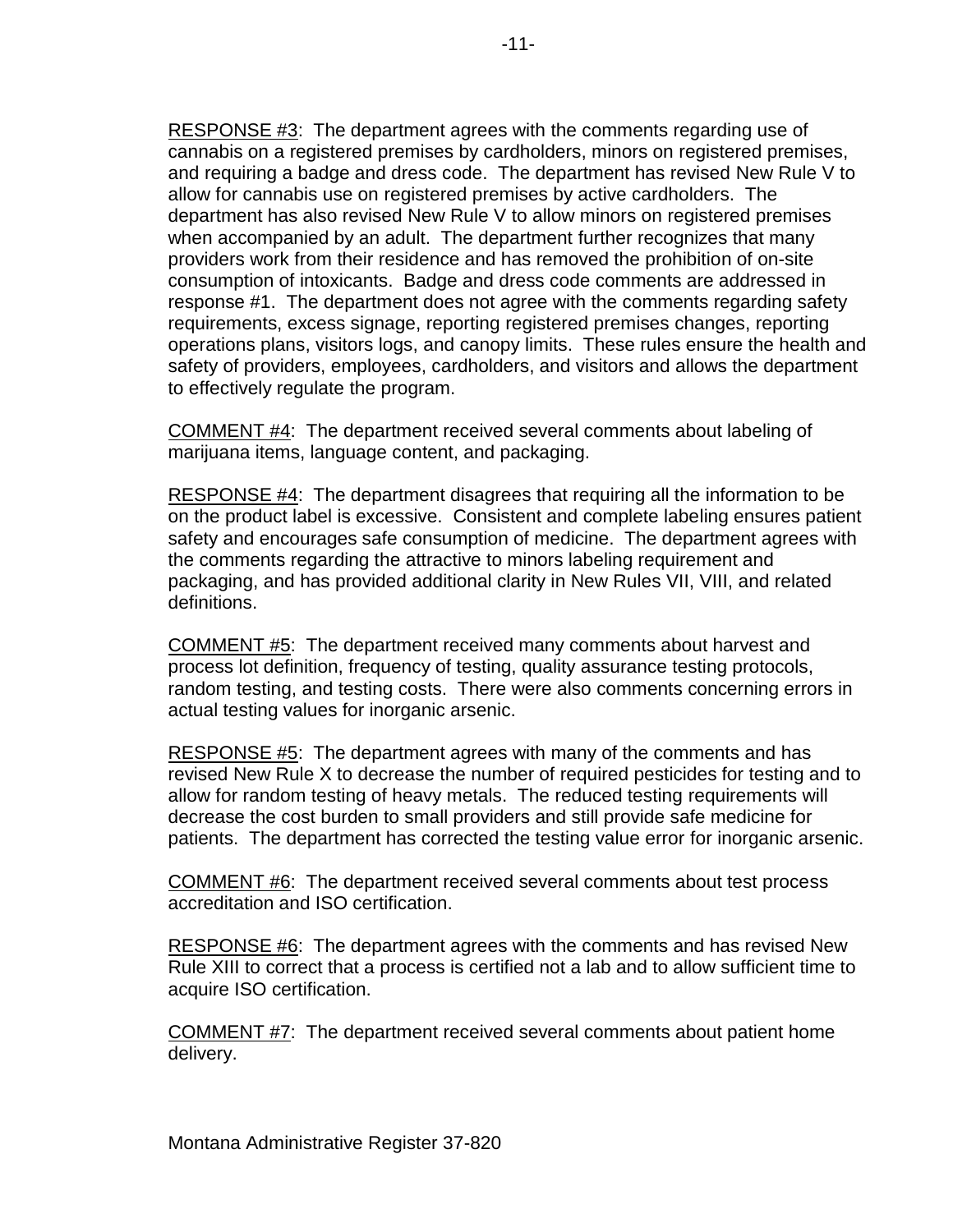RESPONSE #3: The department agrees with the comments regarding use of cannabis on a registered premises by cardholders, minors on registered premises, and requiring a badge and dress code. The department has revised New Rule V to allow for cannabis use on registered premises by active cardholders. The department has also revised New Rule V to allow minors on registered premises when accompanied by an adult. The department further recognizes that many providers work from their residence and has removed the prohibition of on-site consumption of intoxicants. Badge and dress code comments are addressed in response #1. The department does not agree with the comments regarding safety requirements, excess signage, reporting registered premises changes, reporting operations plans, visitors logs, and canopy limits. These rules ensure the health and safety of providers, employees, cardholders, and visitors and allows the department to effectively regulate the program.

COMMENT #4: The department received several comments about labeling of marijuana items, language content, and packaging.

RESPONSE #4: The department disagrees that requiring all the information to be on the product label is excessive. Consistent and complete labeling ensures patient safety and encourages safe consumption of medicine. The department agrees with the comments regarding the attractive to minors labeling requirement and packaging, and has provided additional clarity in New Rules VII, VIII, and related definitions.

COMMENT #5: The department received many comments about harvest and process lot definition, frequency of testing, quality assurance testing protocols, random testing, and testing costs. There were also comments concerning errors in actual testing values for inorganic arsenic.

RESPONSE #5: The department agrees with many of the comments and has revised New Rule X to decrease the number of required pesticides for testing and to allow for random testing of heavy metals. The reduced testing requirements will decrease the cost burden to small providers and still provide safe medicine for patients. The department has corrected the testing value error for inorganic arsenic.

COMMENT #6: The department received several comments about test process accreditation and ISO certification.

RESPONSE #6: The department agrees with the comments and has revised New Rule XIII to correct that a process is certified not a lab and to allow sufficient time to acquire ISO certification.

COMMENT #7: The department received several comments about patient home delivery.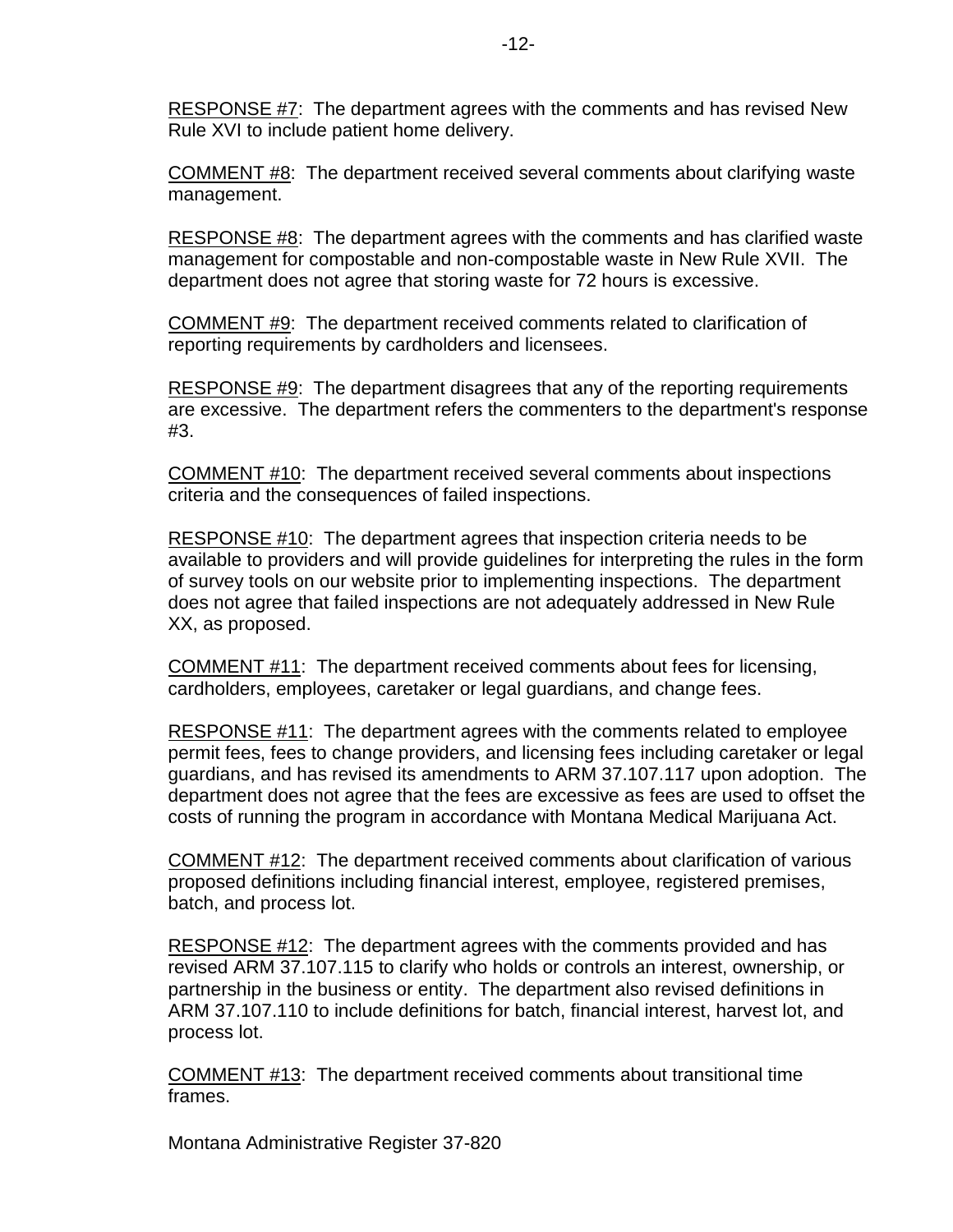RESPONSE #7: The department agrees with the comments and has revised New Rule XVI to include patient home delivery.

COMMENT #8: The department received several comments about clarifying waste management.

RESPONSE #8: The department agrees with the comments and has clarified waste management for compostable and non-compostable waste in New Rule XVII. The department does not agree that storing waste for 72 hours is excessive.

COMMENT #9: The department received comments related to clarification of reporting requirements by cardholders and licensees.

RESPONSE #9: The department disagrees that any of the reporting requirements are excessive. The department refers the commenters to the department's response #3.

COMMENT #10: The department received several comments about inspections criteria and the consequences of failed inspections.

RESPONSE #10: The department agrees that inspection criteria needs to be available to providers and will provide guidelines for interpreting the rules in the form of survey tools on our website prior to implementing inspections. The department does not agree that failed inspections are not adequately addressed in New Rule XX, as proposed.

COMMENT #11: The department received comments about fees for licensing, cardholders, employees, caretaker or legal guardians, and change fees.

RESPONSE #11: The department agrees with the comments related to employee permit fees, fees to change providers, and licensing fees including caretaker or legal guardians, and has revised its amendments to ARM 37.107.117 upon adoption. The department does not agree that the fees are excessive as fees are used to offset the costs of running the program in accordance with Montana Medical Marijuana Act.

COMMENT #12: The department received comments about clarification of various proposed definitions including financial interest, employee, registered premises, batch, and process lot.

RESPONSE #12: The department agrees with the comments provided and has revised ARM 37.107.115 to clarify who holds or controls an interest, ownership, or partnership in the business or entity. The department also revised definitions in ARM 37.107.110 to include definitions for batch, financial interest, harvest lot, and process lot.

COMMENT #13: The department received comments about transitional time frames.